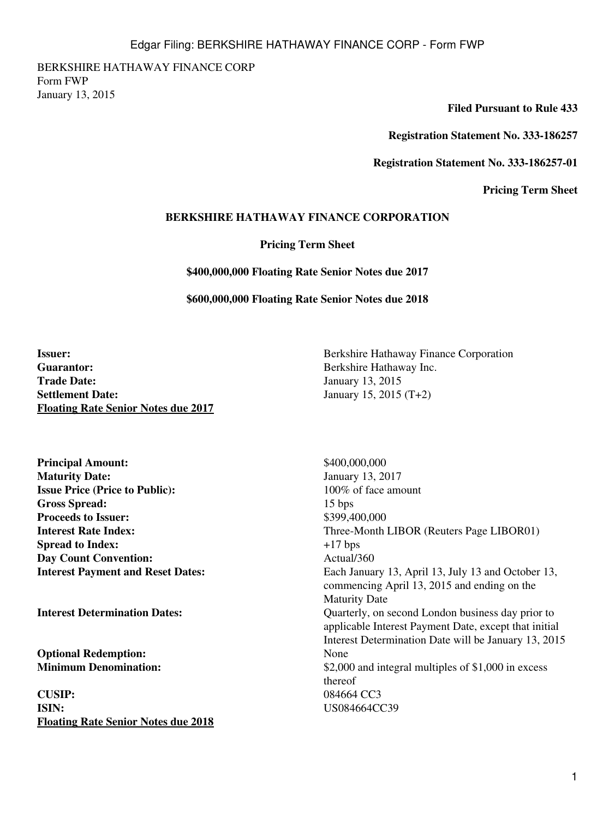BERKSHIRE HATHAWAY FINANCE CORP Form FWP January 13, 2015

**Filed Pursuant to Rule 433**

**Registration Statement No. 333-186257**

**Registration Statement No. 333-186257-01**

**Pricing Term Sheet**

## **BERKSHIRE HATHAWAY FINANCE CORPORATION**

**Pricing Term Sheet**

**\$400,000,000 Floating Rate Senior Notes due 2017**

**\$600,000,000 Floating Rate Senior Notes due 2018**

**Guarantor:** Berkshire Hathaway Inc. **Trade Date:** January 13, 2015 **Settlement Date:** January 15, 2015 (T+2) **Floating Rate Senior Notes due 2017**

**Principal Amount:**  $$400,000,000$ **Maturity Date:** January 13, 2017 **Issue Price (Price to Public):** 100% of face amount **Gross Spread:** 15 bps **Proceeds to Issuer:** \$399,400,000 **Spread to Index:**  $+17 \text{ bps}$ **Day Count Convention:** Actual/360

**Optional Redemption:** None<br> **Minimum Denomination:** S2.00

**CUSIP:** 084664 CC3 **ISIN:** US084664CC39 **Floating Rate Senior Notes due 2018**

**Issuer:** Berkshire Hathaway Finance Corporation

**Interest Rate Index:** Three-Month LIBOR (Reuters Page LIBOR01) **Interest Payment and Reset Dates:** Each January 13, April 13, July 13 and October 13, commencing April 13, 2015 and ending on the Maturity Date **Interest Determination Dates:** Quarterly, on second London business day prior to applicable Interest Payment Date, except that initial Interest Determination Date will be January 13, 2015 \$2,000 and integral multiples of \$1,000 in excess thereof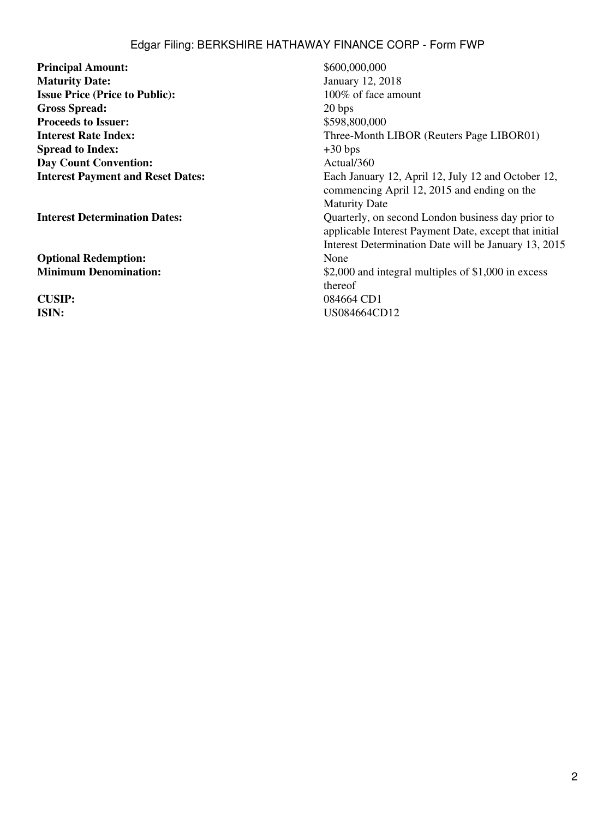## Edgar Filing: BERKSHIRE HATHAWAY FINANCE CORP - Form FWP

**Principal Amount:** \$600,000,000 **Maturity Date:** January 12, 2018 **Issue Price (Price to Public):** 100% of face amount **Gross Spread:** 20 bps **Proceeds to Issuer:**  $$598,800,000$ **Spread to Index:**  $+30 \text{ bps}$ <br> **Day Count Convention:**  $\text{Actual}/360$ **Day Count Convention:** 

**Optional Redemption:** None

**Interest Rate Index:** Three-Month LIBOR (Reuters Page LIBOR01) **Interest Payment and Reset Dates:** Each January 12, April 12, July 12 and October 12, commencing April 12, 2015 and ending on the Maturity Date **Interest Determination Dates:** Quarterly, on second London business day prior to applicable Interest Payment Date, except that initial Interest Determination Date will be January 13, 2015 **Minimum Denomination:**  $$2,000$  and integral multiples of \$1,000 in excess thereof **CUSIP:** 084664 CD1 **ISIN:** US084664CD12